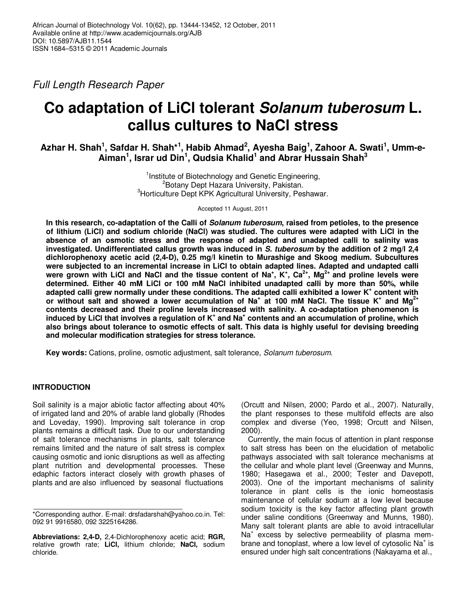Full Length Research Paper

# **Co adaptation of LiCl tolerant Solanum tuberosum L. callus cultures to NaCl stress**

**Azhar H. Shah<sup>1</sup> , Safdar H. Shah\*<sup>1</sup> , Habib Ahmad<sup>2</sup> , Ayesha Baig<sup>1</sup> , Zahoor A. Swati<sup>1</sup> , Umm-e-Aiman<sup>1</sup> , Israr ud Din<sup>1</sup> , Qudsia Khalid<sup>1</sup> and Abrar Hussain Shah<sup>3</sup>**

> <sup>1</sup>Institute of Biotechnology and Genetic Engineering, <sup>2</sup>Botany Dept Hazara University, Pakistan. <sup>3</sup>Horticulture Dept KPK Agricultural University, Peshawar.

> > Accepted 11 August, 2011

**In this research, co-adaptation of the Calli of Solanum tuberosum, raised from petioles, to the presence of lithium (LiCl) and sodium chloride (NaCl) was studied. The cultures were adapted with LiCl in the absence of an osmotic stress and the response of adapted and unadapted calli to salinity was investigated. Undifferentiated callus growth was induced in S. tuberosum by the addition of 2 mg/l 2,4 dichlorophenoxy acetic acid (2,4-D), 0.25 mg/l kinetin to Murashige and Skoog medium. Subcultures were subjected to an incremental increase in LiCl to obtain adapted lines. Adapted and undapted calli**  were grown with LiCI and NaCI and the tissue content of Na<sup>+</sup>, K<sup>+</sup>, Ca<sup>2+</sup>, Mg<sup>2+</sup> and proline levels were **determined. Either 40 mM LiCl or 100 mM NaCl inhibited unadapted calli by more than 50%, while adapted calli grew normally under these conditions. The adapted calli exhibited a lower K<sup>+</sup> content with or without salt and showed a lower accumulation of Na<sup>+</sup> at 100 mM NaCl. The tissue K<sup>+</sup> and Mg2+ contents decreased and their proline levels increased with salinity. A co-adaptation phenomenon is**  induced by LiCI that involves a regulation of K<sup>+</sup> and Na<sup>+</sup> contents and an accumulation of proline, which **also brings about tolerance to osmotic effects of salt. This data is highly useful for devising breeding and molecular modification strategies for stress tolerance.** 

**Key words:** Cations, proline, osmotic adjustment, salt tolerance, Solanum tuberosum.

# **INTRODUCTION**

Soil salinity is a major abiotic factor affecting about 40% of irrigated land and 20% of arable land globally (Rhodes and Loveday, 1990). Improving salt tolerance in crop plants remains a difficult task. Due to our understanding of salt tolerance mechanisms in plants, salt tolerance remains limited and the nature of salt stress is complex causing osmotic and ionic disruptions as well as affecting plant nutrition and developmental processes. These edaphic factors interact closely with growth phases of plants and are also influenced by seasonal fluctuations

(Orcutt and Nilsen, 2000; Pardo et al., 2007). Naturally, the plant responses to these multifold effects are also complex and diverse (Yeo, 1998; Orcutt and Nilsen, 2000).

Currently, the main focus of attention in plant response to salt stress has been on the elucidation of metabolic pathways associated with salt tolerance mechanisms at the cellular and whole plant level (Greenway and Munns, 1980; Hasegawa et al., 2000; Tester and Davepott, 2003). One of the important mechanisms of salinity tolerance in plant cells is the ionic homeostasis maintenance of cellular sodium at a low level because sodium toxicity is the key factor affecting plant growth under saline conditions (Greenway and Munns, 1980). Many salt tolerant plants are able to avoid intracellular Na<sup>+</sup> excess by selective permeability of plasma membrane and tonoplast, where a low level of cytosolic Na<sup>+</sup> is ensured under high salt concentrations (Nakayama et al.,

<sup>\*</sup>Corresponding author. E-mail: drsfadarshah@yahoo.co.in. Tel: 092 91 9916580, 092 3225164286.

**Abbreviations: 2,4-D,** 2,4-Dichlorophenoxy acetic acid; **RGR,** relative growth rate; **LiCl,** lithium chloride; **NaCl,** sodium chloride.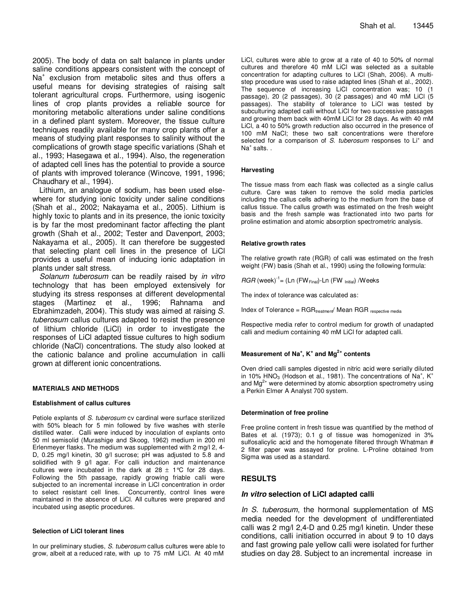2005). The body of data on salt balance in plants under saline conditions appears consistent with the concept of Na<sup>+</sup> exclusion from metabolic sites and thus offers a useful means for devising strategies of raising salt tolerant agricultural crops. Furthermore, using isogenic lines of crop plants provides a reliable source for monitoring metabolic alterations under saline conditions in a defined plant system. Moreover, the tissue culture techniques readily available for many crop plants offer a means of studying plant responses to salinity without the complications of growth stage specific variations (Shah et al., 1993; Hasegawa et al., 1994). Also, the regeneration of adapted cell lines has the potential to provide a source of plants with improved tolerance (Wincove, 1991, 1996; Chaudhary et al., 1994).

Lithium, an analogue of sodium, has been used elsewhere for studying ionic toxicity under saline conditions (Shah et al., 2002; Nakayama et al., 2005). Lithium is highly toxic to plants and in its presence, the ionic toxicity is by far the most predominant factor affecting the plant growth (Shah et al., 2002; Tester and Davenport, 2003; Nakayama et al., 2005). It can therefore be suggested that selecting plant cell lines in the presence of LiCl provides a useful mean of inducing ionic adaptation in plants under salt stress.

Solanum tuberosum can be readily raised by in vitro technology that has been employed extensively for studying its stress responses at different developmental stages (Martinez et al., 1996; Rahnama and Ebrahimzadeh, 2004). This study was aimed at raising S. tuberosum callus cultures adapted to resist the presence of lithium chloride (LiCl) in order to investigate the responses of LiCl adapted tissue cultures to high sodium chloride (NaCl) concentrations. The study also looked at the cationic balance and proline accumulation in calli grown at different ionic concentrations.

### **MATERIALS AND METHODS**

### **Establishment of callus cultures**

Petiole explants of S. tuberosum cv cardinal were surface sterilized with 50% bleach for 5 min followed by five washes with sterile distilled water. Calli were induced by inoculation of explants onto 50 ml semisolid (Murashige and Skoog, 1962) medium in 200 ml Erlenmeyer flasks. The medium was supplemented with 2 mg/l 2, 4- D, 0.25 mg/l kinetin, 30 g/l sucrose; pH was adjusted to 5.8 and solidified with 9 g/l agar. For calli induction and maintenance cultures were incubated in the dark at  $28 \pm 1^{\circ}$  for 28 days. Following the 5th passage, rapidly growing friable calli were subjected to an incremental increase in LiCl concentration in order to select resistant cell lines. Concurrently, control lines were maintained in the absence of LiCl. All cultures were prepared and incubated using aseptic procedures.

# **Selection of LiCl tolerant lines**

In our preliminary studies, S. tuberosum callus cultures were able to grow, albeit at a reduced rate, with up to 75 mM LiCl. At 40 mM

LiCl, cultures were able to grow at a rate of 40 to 50% of normal cultures and therefore 40 mM LiCl was selected as a suitable concentration for adapting cultures to LiCl (Shah, 2006). A multistep procedure was used to raise adapted lines (Shah et al., 2002). The sequence of increasing LiCl concentration was; 10 (1 passage), 20 (2 passages), 30 (2 passages) and 40 mM LiCl (5 passages). The stability of tolerance to LiCl was tested by subculturing adapted calli without LiCl for two successive passages and growing them back with 40mM LiCl for 28 days. As with 40 mM LiCl, a 40 to 50% growth reduction also occurred in the presence of 100 mM NaCl; these two salt concentrations were therefore selected for a comparison of S. tuberosum responses to  $Li<sup>+</sup>$  and  $Na<sup>+</sup>$  salts. .

### **Harvesting**

The tissue mass from each flask was collected as a single callus culture. Care was taken to remove the solid media particles including the callus cells adhering to the medium from the base of callus tissue. The callus growth was estimated on the fresh weight basis and the fresh sample was fractionated into two parts for proline estimation and atomic absorption spectrometric analysis.

#### **Relative growth rates**

The relative growth rate (RGR) of calli was estimated on the fresh weight (FW) basis (Shah et al., 1990) using the following formula:

 $RGR$  (week)<sup>-1</sup> = (Ln (FW<sub>Final</sub>)-Ln (FW  $_{\text{Initial}}$ ) /Weeks

The index of tolerance was calculated as:

 $Index of Tolerance = RGR_{treatment} / Mean RGR_{tres}}$ 

Respective media refer to control medium for growth of unadapted calli and medium containing 40 mM LiCl for adapted calli.

# **Measurement of Na<sup>+</sup> , K<sup>+</sup> and Mg2+ contents**

Oven dried calli samples digested in nitric acid were serially diluted in 10% HNO<sub>3</sub> (Hodson et al., 1981). The concentrations of Na<sup>+</sup>, K<sup>+</sup> and  $Mg^{2+}$  were determined by atomic absorption spectrometry using a Perkin Elmer A Analyst 700 system.

### **Determination of free proline**

Free proline content in fresh tissue was quantified by the method of Bates et al. (1973); 0.1 g of tissue was homogenized in 3% sulfosalicylic acid and the homogenate filtered through Whatman # 2 filter paper was assayed for proline. L-Proline obtained from Sigma was used as a standard.

# **RESULTS**

# **In vitro selection of LiCl adapted calli**

In S. tuberosum, the hormonal supplementation of MS media needed for the development of undifferentiated calli was 2 mg/l 2,4-D and 0.25 mg/l kinetin. Under these conditions, calli initiation occurred in about 9 to 10 days and fast growing pale yellow calli were isolated for further studies on day 28. Subject to an incremental increase in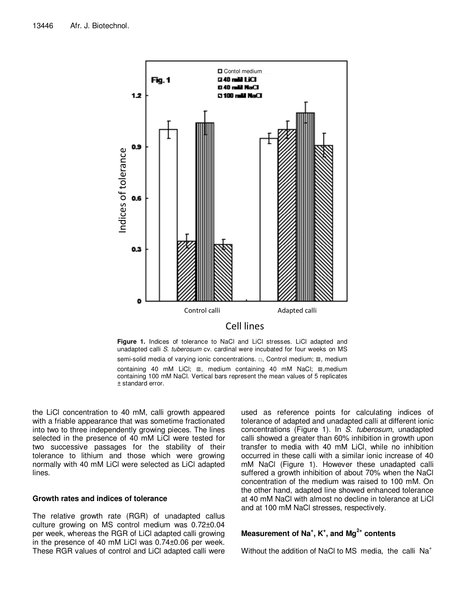

**Figure 1.** Indices of tolerance to NaCl and LiCl stresses. LiCl adapted and unadapted calli S. tuberosum cv. cardinal were incubated for four weeks on MS semi-solid media of varying ionic concentrations. □, Control medium; **Ø**, medium containing 40 mM LiCl; ▥, medium containing 40 mM NaCl; ▧,medium containing 100 mM NaCl. Vertical bars represent the mean values of 5 replicates ± standard error.

the LiCl concentration to 40 mM, calli growth appeared with a friable appearance that was sometime fractionated into two to three independently growing pieces. The lines selected in the presence of 40 mM LiCl were tested for two successive passages for the stability of their tolerance to lithium and those which were growing normally with 40 mM LiCl were selected as LiCl adapted lines.

# **Growth rates and indices of tolerance**

The relative growth rate (RGR) of unadapted callus culture growing on MS control medium was 0.72±0.04 per week, whereas the RGR of LiCl adapted calli growing in the presence of 40 mM LiCl was 0.74±0.06 per week. These RGR values of control and LiCl adapted calli were used as reference points for calculating indices of tolerance of adapted and unadapted calli at different ionic concentrations (Figure 1). In S. tuberosum, unadapted calli showed a greater than 60% inhibition in growth upon transfer to media with 40 mM LiCl, while no inhibition occurred in these calli with a similar ionic increase of 40 mM NaCl (Figure 1). However these unadapted calli suffered a growth inhibition of about 70% when the NaCl concentration of the medium was raised to 100 mM. On the other hand, adapted line showed enhanced tolerance at 40 mM NaCl with almost no decline in tolerance at LiCl and at 100 mM NaCl stresses, respectively.

# **Measurement of Na<sup>+</sup> , K<sup>+</sup> , and Mg2+ contents**

Without the addition of NaCl to MS media, the calli Na<sup>+</sup>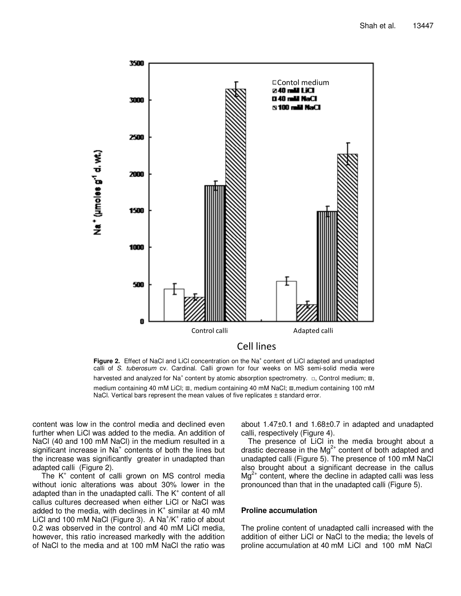

Figure 2. Effect of NaCl and LiCl concentration on the Na<sup>+</sup> content of LiCl adapted and unadapted calli of S. tuberosum cv. Cardinal. Calli grown for four weeks on MS semi-solid media were harvested and analyzed for Na<sup>+</sup> content by atomic absorption spectrometry.  $\Box$ , Control medium;  $\mathbb{Z}_2$ , medium containing 40 mM LiCl; m, medium containing 40 mM NaCl; **m**, medium containing 100 mM NaCl. Vertical bars represent the mean values of five replicates  $\pm$  standard error.

content was low in the control media and declined even further when LiCl was added to the media. An addition of NaCl (40 and 100 mM NaCl) in the medium resulted in a significant increase in Na<sup>+</sup> contents of both the lines but the increase was significantly greater in unadapted than adapted calli (Figure 2).

The K<sup>+</sup> content of calli grown on MS control media without ionic alterations was about 30% lower in the adapted than in the unadapted calli. The  $K^*$  content of all callus cultures decreased when either LiCl or NaCl was added to the media, with declines in  $K^*$  similar at 40 mM LiCl and 100 mM NaCl (Figure 3). A Na<sup>+</sup>/K<sup>+</sup> ratio of about 0.2 was observed in the control and 40 mM LiCl media, however, this ratio increased markedly with the addition of NaCl to the media and at 100 mM NaCl the ratio was

about 1.47±0.1 and 1.68±0.7 in adapted and unadapted calli, respectively (Figure 4).

The presence of LiCl in the media brought about a drastic decrease in the  $Mg^{2+}$  content of both adapted and unadapted calli (Figure 5). The presence of 100 mM NaCl also brought about a significant decrease in the callus  $\text{Ma}^{2+}$  content, where the decline in adapted calli was less pronounced than that in the unadapted calli (Figure 5).

# **Proline accumulation**

The proline content of unadapted calli increased with the addition of either LiCl or NaCl to the media; the levels of proline accumulation at 40 mM LiCl and 100 mM NaCl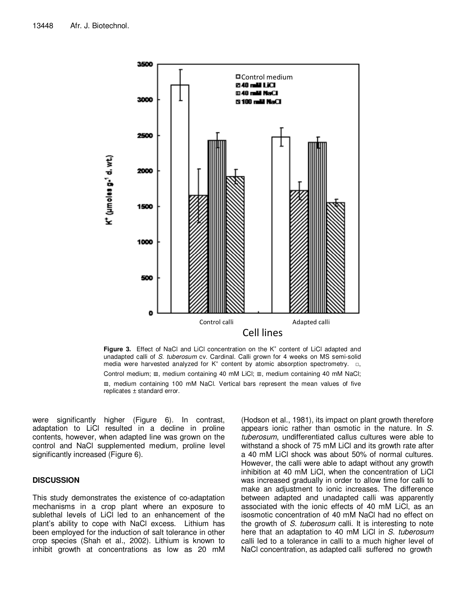

Figure 3. Effect of NaCl and LiCl concentration on the K<sup>+</sup> content of LiCl adapted and unadapted calli of S. tuberosum cv. Cardinal. Calli grown for 4 weeks on MS semi-solid media were harvested analyzed for  $K^+$  content by atomic absorption spectrometry.  $\Box$ , Control medium; ▨, medium containing 40 mM LiCl; ▥, medium containing 40 mM NaCl; ▧, medium containing 100 mM NaCl. Vertical bars represent the mean values of five replicates ± standard error.

were significantly higher (Figure 6). In contrast, adaptation to LiCl resulted in a decline in proline contents, however, when adapted line was grown on the control and NaCl supplemented medium, proline level significantly increased (Figure 6).

# **DISCUSSION**

This study demonstrates the existence of co-adaptation mechanisms in a crop plant where an exposure to sublethal levels of LiCl led to an enhancement of the plant's ability to cope with NaCl excess. Lithium has been employed for the induction of salt tolerance in other crop species (Shah et al., 2002). Lithium is known to inhibit growth at concentrations as low as 20 mM

(Hodson et al., 1981), its impact on plant growth therefore appears ionic rather than osmotic in the nature. In S. tuberosum, undifferentiated callus cultures were able to withstand a shock of 75 mM LiCl and its growth rate after a 40 mM LiCl shock was about 50% of normal cultures. However, the calli were able to adapt without any growth inhibition at 40 mM LiCl, when the concentration of LiCl was increased gradually in order to allow time for calli to make an adjustment to ionic increases. The difference between adapted and unadapted calli was apparently associated with the ionic effects of 40 mM LiCl, as an isosmotic concentration of 40 mM NaCl had no effect on the growth of S. tuberosum calli. It is interesting to note here that an adaptation to 40 mM LiCl in S. tuberosum calli led to a tolerance in calli to a much higher level of NaCl concentration, as adapted calli suffered no growth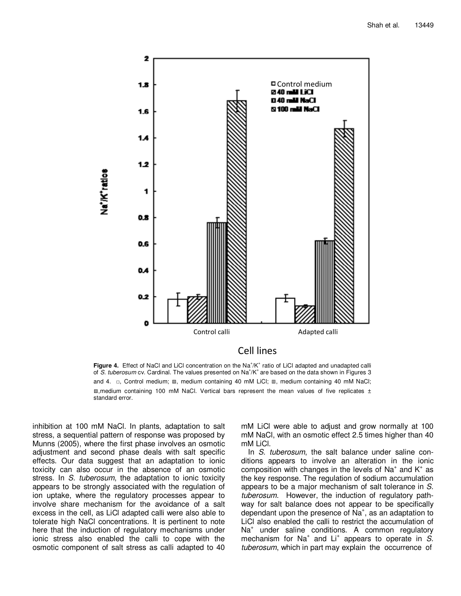

Figure 4. Effect of NaCl and LiCl concentration on the Na<sup>+</sup>/K<sup>+</sup> ratio of LiCl adapted and unadapted calli<br>of S. tuberosum cv. Cardinal. The values presented on Na<sup>+</sup>/K<sup>+</sup> are based on the data shown in Figures 3 and 4. □, Control medium; **z, medium containing 40 mM LiCl**; Ⅲ, medium containing 40 mM NaCl; ▧,medium containing 100 mM NaCl. Vertical bars represent the mean values of five replicates ± standard error.

inhibition at 100 mM NaCl. In plants, adaptation to salt stress, a sequential pattern of response was proposed by Munns (2005), where the first phase involves an osmotic adjustment and second phase deals with salt specific effects. Our data suggest that an adaptation to ionic toxicity can also occur in the absence of an osmotic stress. In S. tuberosum, the adaptation to ionic toxicity appears to be strongly associated with the regulation of ion uptake, where the regulatory processes appear to involve share mechanism for the avoidance of a salt excess in the cell, as LiCl adapted calli were also able to tolerate high NaCl concentrations. It is pertinent to note here that the induction of regulatory mechanisms under ionic stress also enabled the calli to cope with the osmotic component of salt stress as calli adapted to 40 mM LiCl were able to adjust and grow normally at 100 mM NaCl, with an osmotic effect 2.5 times higher than 40 mM LiCl.

In S. tuberosum, the salt balance under saline conditions appears to involve an alteration in the ionic composition with changes in the levels of Na<sup>+</sup> and  $K^*$  as the key response. The regulation of sodium accumulation appears to be a major mechanism of salt tolerance in S. tuberosum. However, the induction of regulatory pathway for salt balance does not appear to be specifically dependant upon the presence of Na<sup>+</sup>, as an adaptation to LiCl also enabled the calli to restrict the accumulation of Na<sup>+</sup> under saline conditions. A common regulatory mechanism for Na<sup>+</sup> and Li<sup>+</sup> appears to operate in  $\dot{S}$ . tuberosum, which in part may explain the occurrence of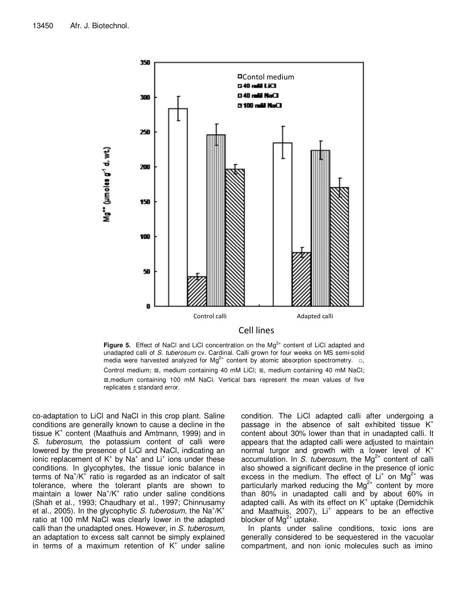

**Figure 5.** Effect of NaCl and LiCl concentration on the  $Mg^{2+}$  content of LiCl adapted and unadapted calli of S. tuberosum cv. Cardinal. Calli grown for four weeks on MS semi-solid media were harvested analyzed for  $Mg^{2+}$  content by atomic absorption spectrometry.  $\Box$ , Control medium; ▨, medium containing 40 mM LiCl; ▥, medium containing 40 mM NaCl; ▧,medium containing 100 mM NaCl. Vertical bars represent the mean values of five replicates ± standard error.

co-adaptation to LiCl and NaCl in this crop plant. Saline conditions are generally known to cause a decline in the tissue K<sup>+</sup> content (Maathuis and Amtmann, 1999) and in S. tuberosum, the potassium content of calli were lowered by the presence of LiCl and NaCl, indicating an ionic replacement of  $K^+$  by Na<sup>+</sup> and  $Li^+$  ions under these conditions. In glycophytes, the tissue ionic balance in terms of  $\text{Na}^{\text{*}}/\text{K}^{\text{*}}$  ratio is regarded as an indicator of salt tolerance, where the tolerant plants are shown to maintain a lower Na<sup>+</sup>/K<sup>+</sup> ratio under saline conditions (Shah et al., 1993; Chaudhary et al., 1997; Chinnusamy et al., 2005). In the glycophytic S. tuberosum, the Na<sup>+</sup>/K<sup>+</sup> ratio at 100 mM NaCl was clearly lower in the adapted calli than the unadapted ones. However, in S. tuberosum, an adaptation to excess salt cannot be simply explained in terms of a maximum retention of  $K^+$  under saline

condition. The LiCl adapted calli after undergoing a passage in the absence of salt exhibited tissue  $K^+$ content about 30% lower than that in unadapted calli. It appears that the adapted calli were adjusted to maintain normal turgor and growth with a lower level of  $K^+$ accumulation. In S. tuberosum, the  $Mg^{2+}$  content of calli also showed a significant decline in the presence of ionic excess in the medium. The effect of  $Li<sup>+</sup>$  on Mg<sup>2+</sup> was particularly marked reducing the  $Mg^{2+}$  content by more than 80% in unadapted calli and by about 60% in adapted calli. As with its effect on K<sup>+</sup> uptake (Demidchik and Maathuis, 2007), Li<sup>+</sup> appears to be an effective blocker of  $Mg^{2+}$  uptake.

In plants under saline conditions, toxic ions are generally considered to be sequestered in the vacuolar compartment, and non ionic molecules such as imino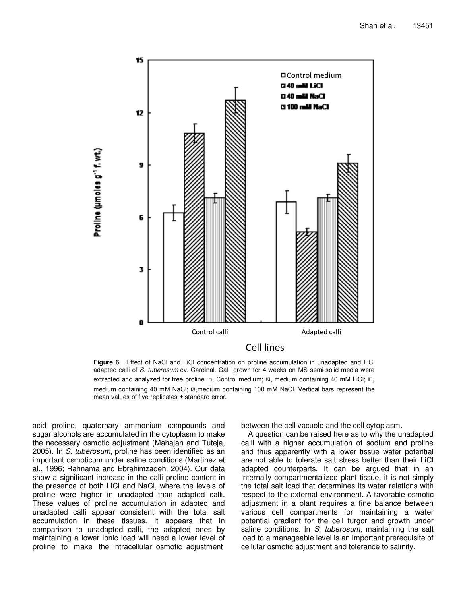

**Figure 6.** Effect of NaCl and LiCl concentration on proline accumulation in unadapted and LiCl adapted calli of S. tuberosum cv. Cardinal. Calli grown for 4 weeks on MS semi-solid media were extracted and analyzed for free proline. □, Control medium; . medium containing 40 mM LiCl; Ⅲ, medium containing 40 mM NaCl; ▧,medium containing 100 mM NaCl. Vertical bars represent the mean values of five replicates ± standard error.

acid proline, quaternary ammonium compounds and sugar alcohols are accumulated in the cytoplasm to make the necessary osmotic adjustment (Mahajan and Tuteja, 2005). In S. tuberosum, proline has been identified as an important osmoticum under saline conditions (Martinez et al., 1996; Rahnama and Ebrahimzadeh, 2004). Our data show a significant increase in the calli proline content in the presence of both LiCl and NaCl, where the levels of proline were higher in unadapted than adapted calli. These values of proline accumulation in adapted and unadapted calli appear consistent with the total salt accumulation in these tissues. It appears that in comparison to unadapted calli, the adapted ones by maintaining a lower ionic load will need a lower level of proline to make the intracellular osmotic adjustment

between the cell vacuole and the cell cytoplasm.

A question can be raised here as to why the unadapted calli with a higher accumulation of sodium and proline and thus apparently with a lower tissue water potential are not able to tolerate salt stress better than their LiCl adapted counterparts. It can be argued that in an internally compartmentalized plant tissue, it is not simply the total salt load that determines its water relations with respect to the external environment. A favorable osmotic adjustment in a plant requires a fine balance between various cell compartments for maintaining a water potential gradient for the cell turgor and growth under saline conditions. In S. tuberosum, maintaining the salt load to a manageable level is an important prerequisite of cellular osmotic adjustment and tolerance to salinity.